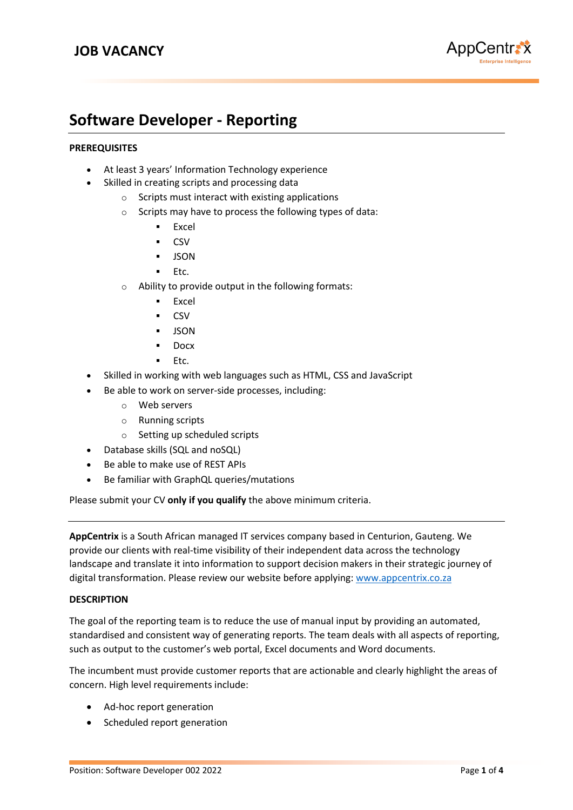

# **Software Developer - Reporting**

# **PREREQUISITES**

- At least 3 years' Information Technology experience
- Skilled in creating scripts and processing data
	- $\circ$  Scripts must interact with existing applications
	- o Scripts may have to process the following types of data:
		- Excel
		- CSV
		- **JSON**
		- Etc.
	- o Ability to provide output in the following formats:
		- Excel
			- **CSV**
		- JSON
		- **Docx**
		- Etc.
- Skilled in working with web languages such as HTML, CSS and JavaScript
- Be able to work on server-side processes, including:
	- o Web servers
	- o Running scripts
	- o Setting up scheduled scripts
- Database skills (SQL and noSQL)
- Be able to make use of REST APIs
- Be familiar with GraphQL queries/mutations

Please submit your CV **only if you qualify** the above minimum criteria.

**AppCentrix** is a South African managed IT services company based in Centurion, Gauteng. We provide our clients with real-time visibility of their independent data across the technology landscape and translate it into information to support decision makers in their strategic journey of digital transformation. Please review our website before applying[: www.appcentrix.co.za](http://www.appcentrix.co.za/)

## **DESCRIPTION**

The goal of the reporting team is to reduce the use of manual input by providing an automated, standardised and consistent way of generating reports. The team deals with all aspects of reporting, such as output to the customer's web portal, Excel documents and Word documents.

The incumbent must provide customer reports that are actionable and clearly highlight the areas of concern. High level requirements include:

- Ad-hoc report generation
- Scheduled report generation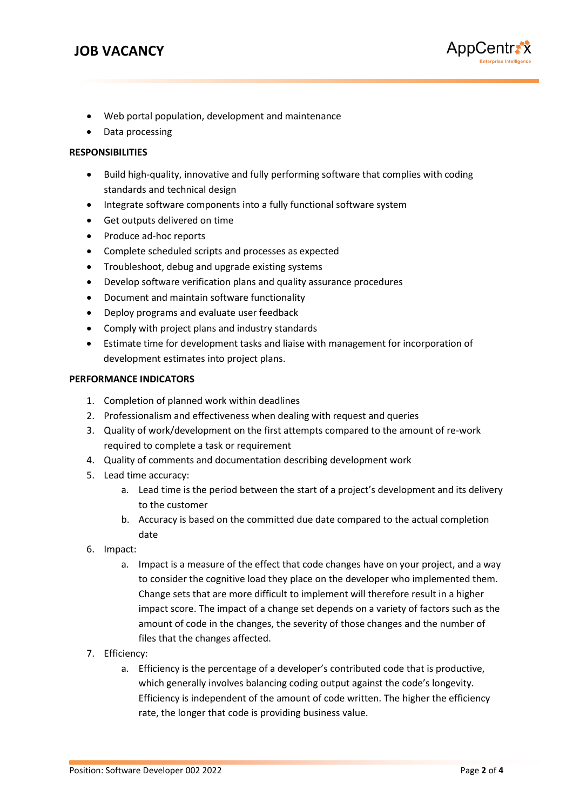

- Web portal population, development and maintenance
- Data processing

#### **RESPONSIBILITIES**

- Build high-quality, innovative and fully performing software that complies with coding standards and technical design
- Integrate software components into a fully functional software system
- Get outputs delivered on time
- Produce ad-hoc reports
- Complete scheduled scripts and processes as expected
- Troubleshoot, debug and upgrade existing systems
- Develop software verification plans and quality assurance procedures
- Document and maintain software functionality
- Deploy programs and evaluate user feedback
- Comply with project plans and industry standards
- Estimate time for development tasks and liaise with management for incorporation of development estimates into project plans.

#### **PERFORMANCE INDICATORS**

- 1. Completion of planned work within deadlines
- 2. Professionalism and effectiveness when dealing with request and queries
- 3. Quality of work/development on the first attempts compared to the amount of re-work required to complete a task or requirement
- 4. Quality of comments and documentation describing development work
- 5. Lead time accuracy:
	- a. Lead time is the period between the start of a project's development and its delivery to the customer
	- b. Accuracy is based on the committed due date compared to the actual completion date
- 6. Impact:
	- a. Impact is a measure of the effect that code changes have on your project, and a way to consider the cognitive load they place on the developer who implemented them. Change sets that are more difficult to implement will therefore result in a higher impact score. The impact of a change set depends on a variety of factors such as the amount of code in the changes, the severity of those changes and the number of files that the changes affected.
- 7. Efficiency:
	- a. Efficiency is the percentage of a developer's contributed code that is productive, which generally involves balancing coding output against the code's longevity. Efficiency is independent of the amount of code written. The higher the efficiency rate, the longer that code is providing business value.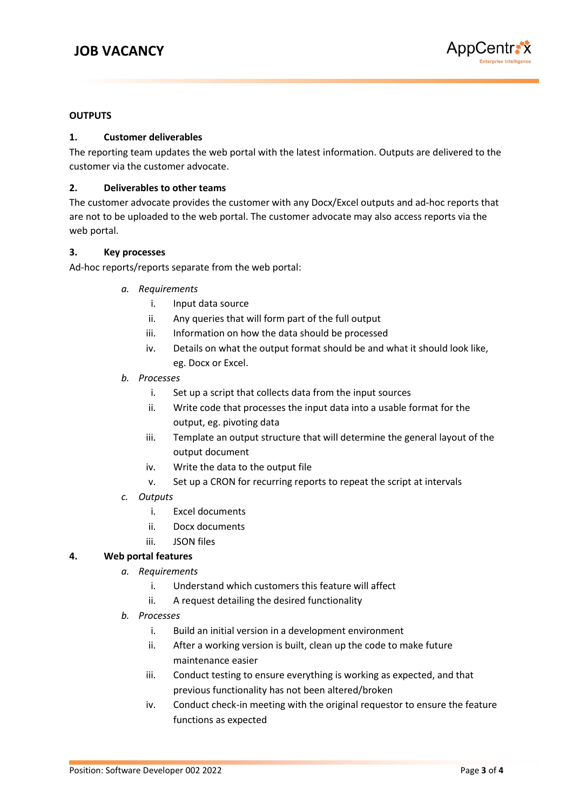

# **OUTPUTS**

## **1. Customer deliverables**

The reporting team updates the web portal with the latest information. Outputs are delivered to the customer via the customer advocate.

## **2. Deliverables to other teams**

The customer advocate provides the customer with any Docx/Excel outputs and ad-hoc reports that are not to be uploaded to the web portal. The customer advocate may also access reports via the web portal.

#### **3. Key processes**

Ad-hoc reports/reports separate from the web portal:

- *a. Requirements*
	- i. Input data source
	- ii. Any queries that will form part of the full output
	- iii. Information on how the data should be processed
	- iv. Details on what the output format should be and what it should look like, eg. Docx or Excel.
- *b. Processes*
	- i. Set up a script that collects data from the input sources
	- ii. Write code that processes the input data into a usable format for the output, eg. pivoting data
	- iii. Template an output structure that will determine the general layout of the output document
	- iv. Write the data to the output file
	- v. Set up a CRON for recurring reports to repeat the script at intervals
- *c. Outputs*
	- i. Excel documents
	- ii. Docx documents
	- iii. JSON files

## **4. Web portal features**

- *a. Requirements*
	- i. Understand which customers this feature will affect
	- ii. A request detailing the desired functionality
- *b. Processes*
	- i. Build an initial version in a development environment
	- ii. After a working version is built, clean up the code to make future maintenance easier
	- iii. Conduct testing to ensure everything is working as expected, and that previous functionality has not been altered/broken
	- iv. Conduct check-in meeting with the original requestor to ensure the feature functions as expected